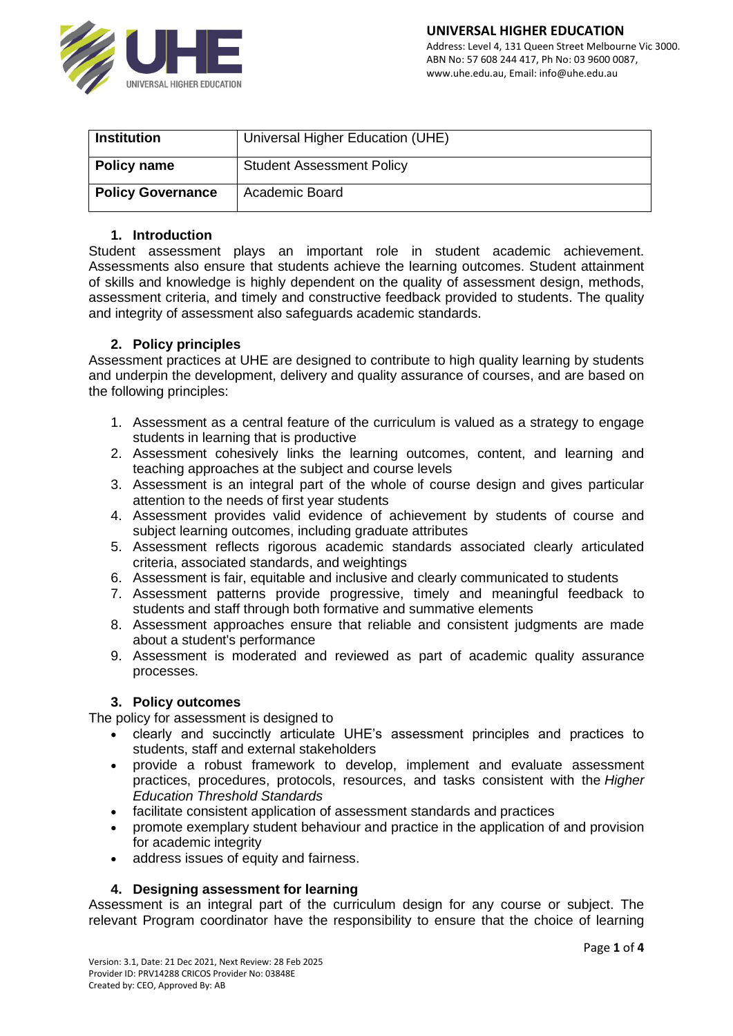

| <b>Institution</b>       | Universal Higher Education (UHE) |
|--------------------------|----------------------------------|
| Policy name              | <b>Student Assessment Policy</b> |
| <b>Policy Governance</b> | <b>Academic Board</b>            |

#### **1. Introduction**

Student assessment plays an important role in student academic achievement. Assessments also ensure that students achieve the learning outcomes. Student attainment of skills and knowledge is highly dependent on the quality of assessment design, methods, assessment criteria, and timely and constructive feedback provided to students. The quality and integrity of assessment also safeguards academic standards.

#### **2. Policy principles**

Assessment practices at UHE are designed to contribute to high quality learning by students and underpin the development, delivery and quality assurance of courses, and are based on the following principles:

- 1. Assessment as a central feature of the curriculum is valued as a strategy to engage students in learning that is productive
- 2. Assessment cohesively links the learning outcomes, content, and learning and teaching approaches at the subject and course levels
- 3. Assessment is an integral part of the whole of course design and gives particular attention to the needs of first year students
- 4. Assessment provides valid evidence of achievement by students of course and subject learning outcomes, including graduate attributes
- 5. Assessment reflects rigorous academic standards associated clearly articulated criteria, associated standards, and weightings
- 6. Assessment is fair, equitable and inclusive and clearly communicated to students
- 7. Assessment patterns provide progressive, timely and meaningful feedback to students and staff through both formative and summative elements
- 8. Assessment approaches ensure that reliable and consistent judgments are made about a student's performance
- 9. Assessment is moderated and reviewed as part of academic quality assurance processes.

#### **3. Policy outcomes**

The policy for assessment is designed to

- clearly and succinctly articulate UHE's assessment principles and practices to students, staff and external stakeholders
- provide a robust framework to develop, implement and evaluate assessment practices, procedures, protocols, resources, and tasks consistent with the *Higher Education Threshold Standards*
- facilitate consistent application of assessment standards and practices
- promote exemplary student behaviour and practice in the application of and provision for academic integrity
- address issues of equity and fairness.

# **4. Designing assessment for learning**

Assessment is an integral part of the curriculum design for any course or subject. The relevant Program coordinator have the responsibility to ensure that the choice of learning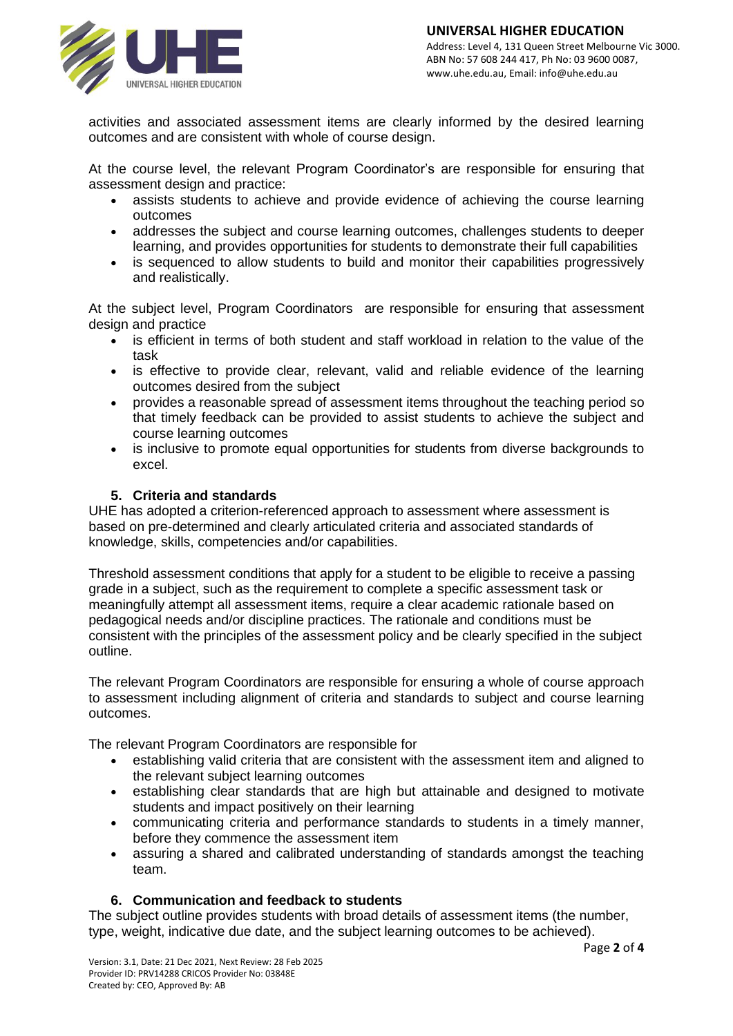

activities and associated assessment items are clearly informed by the desired learning outcomes and are consistent with whole of course design.

At the course level, the relevant Program Coordinator's are responsible for ensuring that assessment design and practice:

- assists students to achieve and provide evidence of achieving the course learning outcomes
- addresses the subject and course learning outcomes, challenges students to deeper learning, and provides opportunities for students to demonstrate their full capabilities
- is sequenced to allow students to build and monitor their capabilities progressively and realistically.

At the subject level, Program Coordinators are responsible for ensuring that assessment design and practice

- is efficient in terms of both student and staff workload in relation to the value of the task
- is effective to provide clear, relevant, valid and reliable evidence of the learning outcomes desired from the subject
- provides a reasonable spread of assessment items throughout the teaching period so that timely feedback can be provided to assist students to achieve the subject and course learning outcomes
- is inclusive to promote equal opportunities for students from diverse backgrounds to excel.

# **5. Criteria and standards**

UHE has adopted a criterion-referenced approach to assessment where assessment is based on pre-determined and clearly articulated criteria and associated standards of knowledge, skills, competencies and/or capabilities.

Threshold assessment conditions that apply for a student to be eligible to receive a passing grade in a subject, such as the requirement to complete a specific assessment task or meaningfully attempt all assessment items, require a clear academic rationale based on pedagogical needs and/or discipline practices. The rationale and conditions must be consistent with the principles of the assessment policy and be clearly specified in the subject outline.

The relevant Program Coordinators are responsible for ensuring a whole of course approach to assessment including alignment of criteria and standards to subject and course learning outcomes.

The relevant Program Coordinators are responsible for

- establishing valid criteria that are consistent with the assessment item and aligned to the relevant subject learning outcomes
- establishing clear standards that are high but attainable and designed to motivate students and impact positively on their learning
- communicating criteria and performance standards to students in a timely manner, before they commence the assessment item
- assuring a shared and calibrated understanding of standards amongst the teaching team.

# **6. Communication and feedback to students**

The subject outline provides students with broad details of assessment items (the number, type, weight, indicative due date, and the subject learning outcomes to be achieved).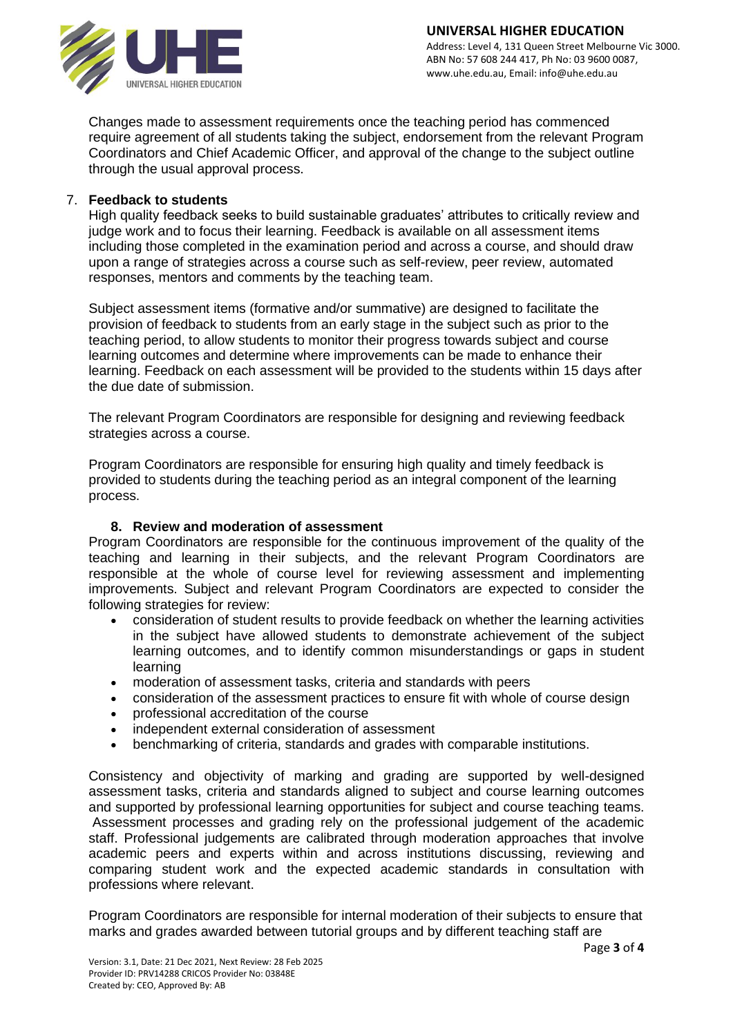

Changes made to assessment requirements once the teaching period has commenced require agreement of all students taking the subject, endorsement from the relevant Program Coordinators and Chief Academic Officer, and approval of the change to the subject outline through the usual approval process.

# 7. **Feedback to students**

High quality feedback seeks to build sustainable graduates' attributes to critically review and judge work and to focus their learning. Feedback is available on all assessment items including those completed in the examination period and across a course, and should draw upon a range of strategies across a course such as self-review, peer review, automated responses, mentors and comments by the teaching team.

Subject assessment items (formative and/or summative) are designed to facilitate the provision of feedback to students from an early stage in the subject such as prior to the teaching period, to allow students to monitor their progress towards subject and course learning outcomes and determine where improvements can be made to enhance their learning. Feedback on each assessment will be provided to the students within 15 days after the due date of submission.

The relevant Program Coordinators are responsible for designing and reviewing feedback strategies across a course.

Program Coordinators are responsible for ensuring high quality and timely feedback is provided to students during the teaching period as an integral component of the learning process.

# **8. Review and moderation of assessment**

Program Coordinators are responsible for the continuous improvement of the quality of the teaching and learning in their subjects, and the relevant Program Coordinators are responsible at the whole of course level for reviewing assessment and implementing improvements. Subject and relevant Program Coordinators are expected to consider the following strategies for review:

- consideration of student results to provide feedback on whether the learning activities in the subject have allowed students to demonstrate achievement of the subject learning outcomes, and to identify common misunderstandings or gaps in student learning
- moderation of assessment tasks, criteria and standards with peers
- consideration of the assessment practices to ensure fit with whole of course design
- professional accreditation of the course
- independent external consideration of assessment
- benchmarking of criteria, standards and grades with comparable institutions.

Consistency and objectivity of marking and grading are supported by well-designed assessment tasks, criteria and standards aligned to subject and course learning outcomes and supported by professional learning opportunities for subject and course teaching teams. Assessment processes and grading rely on the professional judgement of the academic staff. Professional judgements are calibrated through moderation approaches that involve academic peers and experts within and across institutions discussing, reviewing and comparing student work and the expected academic standards in consultation with professions where relevant.

Program Coordinators are responsible for internal moderation of their subjects to ensure that marks and grades awarded between tutorial groups and by different teaching staff are